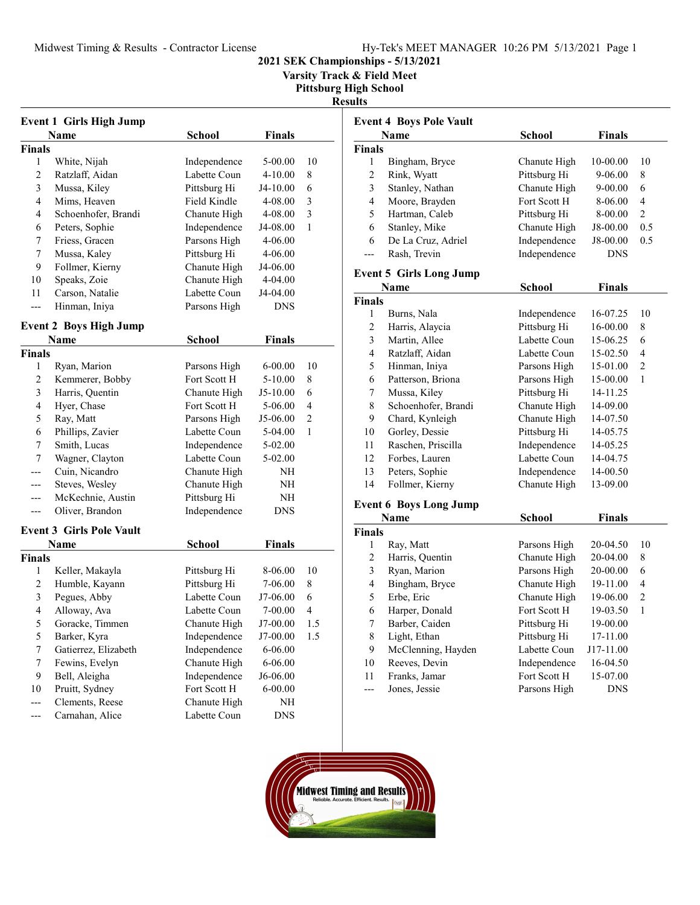Varsity Track & Field Meet

Pittsburg High School

#### Results

| <b>Event 1 Girls High Jump</b> |                                 |              |               |                |  |  |
|--------------------------------|---------------------------------|--------------|---------------|----------------|--|--|
|                                | Name                            | School       | <b>Finals</b> |                |  |  |
| Finals                         |                                 |              |               |                |  |  |
| 1                              | White, Nijah                    | Independence | 5-00.00       | 10             |  |  |
| 2                              | Ratzlaff, Aidan                 | Labette Coun | 4-10.00       | 8              |  |  |
| 3                              | Mussa, Kiley                    | Pittsburg Hi | J4-10.00      | 6              |  |  |
| 4                              | Mims, Heaven                    | Field Kindle | 4-08.00       | 3              |  |  |
| 4                              | Schoenhofer, Brandi             | Chanute High | 4-08.00       | 3              |  |  |
| 6                              | Peters, Sophie                  | Independence | J4-08.00      | 1              |  |  |
| 7                              | Friess, Gracen                  | Parsons High | 4-06.00       |                |  |  |
| 7                              | Mussa, Kaley                    | Pittsburg Hi | 4-06.00       |                |  |  |
| 9                              | Follmer, Kierny                 | Chanute High | J4-06.00      |                |  |  |
| 10                             | Speaks, Zoie                    | Chanute High | 4-04.00       |                |  |  |
| 11                             | Carson, Natalie                 | Labette Coun | J4-04.00      |                |  |  |
|                                | Hinman, Iniya                   | Parsons High | <b>DNS</b>    |                |  |  |
|                                |                                 |              |               |                |  |  |
|                                | <b>Event 2 Boys High Jump</b>   |              |               |                |  |  |
|                                | Name                            | School       | <b>Finals</b> |                |  |  |
| <b>Finals</b>                  |                                 |              |               |                |  |  |
| 1                              | Ryan, Marion                    | Parsons High | $6 - 00.00$   | 10             |  |  |
| 2                              | Kemmerer, Bobby                 | Fort Scott H | 5-10.00       | 8              |  |  |
| 3                              | Harris, Quentin                 | Chanute High | J5-10.00      | 6              |  |  |
| 4                              | Hyer, Chase                     | Fort Scott H | 5-06.00       | 4              |  |  |
| 5                              | Ray, Matt                       | Parsons High | J5-06.00      | $\overline{c}$ |  |  |
| 6                              | Phillips, Zavier                | Labette Coun | 5-04.00       | 1              |  |  |
| 7                              | Smith, Lucas                    | Independence | 5-02.00       |                |  |  |
| 7                              | Wagner, Clayton                 | Labette Coun | 5-02.00       |                |  |  |
| ---                            | Cuin, Nicandro                  | Chanute High | NH            |                |  |  |
| ---                            | Steves, Wesley                  | Chanute High | NΗ            |                |  |  |
|                                | McKechnie, Austin               | Pittsburg Hi | NΗ            |                |  |  |
|                                | Oliver, Brandon                 | Independence | <b>DNS</b>    |                |  |  |
|                                | <b>Event 3 Girls Pole Vault</b> |              |               |                |  |  |
|                                | Name                            | School       | Finals        |                |  |  |
| <b>Finals</b>                  |                                 |              |               |                |  |  |
| 1                              | Keller, Makayla                 | Pittsburg Hi | 8-06.00       | 10             |  |  |
| 2                              | Humble, Kayann                  | Pittsburg Hi | 7-06.00       | 8              |  |  |
| 3                              | Pegues, Abby                    | Labette Coun | J7-06.00      | 6              |  |  |
| $\overline{4}$                 | Alloway, Ava                    | Labette Coun | $7 - 00.00$   | 4              |  |  |
| 5                              | Goracke, Timmen                 | Chanute High | J7-00.00      | 1.5            |  |  |
| 5                              | Barker, Kyra                    | Independence | J7-00.00      | 1.5            |  |  |
| 7                              | Gatierrez, Elizabeth            | Independence | 6-06.00       |                |  |  |
| 7                              | Fewins, Evelyn                  | Chanute High | 6-06.00       |                |  |  |
| 9                              | Bell, Aleigha                   | Independence | J6-06.00      |                |  |  |
| 10                             | Pruitt, Sydney                  | Fort Scott H | $6 - 00.00$   |                |  |  |
| ---                            | Clements, Reese                 | Chanute High | NH            |                |  |  |
| ---                            | Carnahan, Alice                 | Labette Coun | <b>DNS</b>    |                |  |  |

|                          | <b>Event 4 Boys Pole Vault</b><br><b>Name</b><br><b>School</b><br><b>Finals</b> |               |               |                |  |
|--------------------------|---------------------------------------------------------------------------------|---------------|---------------|----------------|--|
| Finals                   |                                                                                 |               |               |                |  |
| 1                        | Bingham, Bryce                                                                  | Chanute High  | 10-00.00      | 10             |  |
| $\overline{c}$           | Rink, Wyatt                                                                     | Pittsburg Hi  | 9-06.00       | 8              |  |
| 3                        | Stanley, Nathan                                                                 | Chanute High  | 9-00.00       | 6              |  |
| $\overline{\mathcal{L}}$ | Moore, Brayden                                                                  | Fort Scott H  | 8-06.00       | 4              |  |
| 5                        | Hartman, Caleb                                                                  | Pittsburg Hi  | 8-00.00       | $\overline{c}$ |  |
| 6                        | Stanley, Mike                                                                   | Chanute High  | J8-00.00      | 0.5            |  |
| 6                        | De La Cruz, Adriel                                                              | Independence  | J8-00.00      | 0.5            |  |
| $---$                    | Rash, Trevin                                                                    | Independence  | <b>DNS</b>    |                |  |
|                          |                                                                                 |               |               |                |  |
|                          | <b>Event 5 Girls Long Jump</b>                                                  |               |               |                |  |
|                          | Name                                                                            | <b>School</b> | <b>Finals</b> |                |  |
| Finals                   |                                                                                 |               |               |                |  |
| 1                        | Burns, Nala                                                                     | Independence  | 16-07.25      | 10             |  |
| 2                        | Harris, Alaycia                                                                 | Pittsburg Hi  | 16-00.00      | 8              |  |
| $\mathfrak{Z}$           | Martin, Allee                                                                   | Labette Coun  | 15-06.25      | 6              |  |
| $\overline{4}$           | Ratzlaff, Aidan                                                                 | Labette Coun  | 15-02.50      | 4              |  |
| 5                        | Hinman, Iniya                                                                   | Parsons High  | 15-01.00      | $\overline{c}$ |  |
| 6                        | Patterson, Briona                                                               | Parsons High  | 15-00.00      | 1              |  |
| $\overline{7}$           | Mussa, Kiley                                                                    | Pittsburg Hi  | 14-11.25      |                |  |
| 8                        | Schoenhofer, Brandi                                                             | Chanute High  | 14-09.00      |                |  |
| 9                        | Chard, Kynleigh                                                                 | Chanute High  | 14-07.50      |                |  |
| 10                       | Gorley, Dessie                                                                  | Pittsburg Hi  | 14-05.75      |                |  |
| 11                       | Raschen, Priscilla                                                              | Independence  | 14-05.25      |                |  |
| 12                       | Forbes, Lauren                                                                  | Labette Coun  | 14-04.75      |                |  |
| 13                       | Peters, Sophie                                                                  | Independence  | 14-00.50      |                |  |
| 14                       | Follmer, Kierny                                                                 | Chanute High  | 13-09.00      |                |  |
|                          | <b>Event 6 Boys Long Jump</b>                                                   |               |               |                |  |
|                          | Name                                                                            | School        | <b>Finals</b> |                |  |
| Finals                   |                                                                                 |               |               |                |  |
| 1                        | Ray, Matt                                                                       | Parsons High  | 20-04.50      | 10             |  |
| $\overline{c}$           | Harris, Quentin                                                                 | Chanute High  | 20-04.00      | 8              |  |
| $\mathfrak{Z}$           | Ryan, Marion                                                                    | Parsons High  | 20-00.00      | 6              |  |
| $\overline{4}$           | Bingham, Bryce                                                                  | Chanute High  | 19-11.00      | $\overline{4}$ |  |
| 5                        | Erbe, Eric                                                                      | Chanute High  | 19-06.00      | 2              |  |
| 6                        | Harper, Donald                                                                  | Fort Scott H  | 19-03.50      | 1              |  |
| $\sqrt{ }$               | Barber, Caiden                                                                  | Pittsburg Hi  | 19-00.00      |                |  |
| 8                        | Light, Ethan                                                                    | Pittsburg Hi  | 17-11.00      |                |  |
| 9                        | McClenning, Hayden                                                              | Labette Coun  | J17-11.00     |                |  |
| 10                       | Reeves, Devin                                                                   | Independence  | 16-04.50      |                |  |
| 11                       | Franks, Jamar                                                                   | Fort Scott H  | 15-07.00      |                |  |
| ---                      | Jones, Jessie                                                                   | Parsons High  | <b>DNS</b>    |                |  |
|                          |                                                                                 |               |               |                |  |

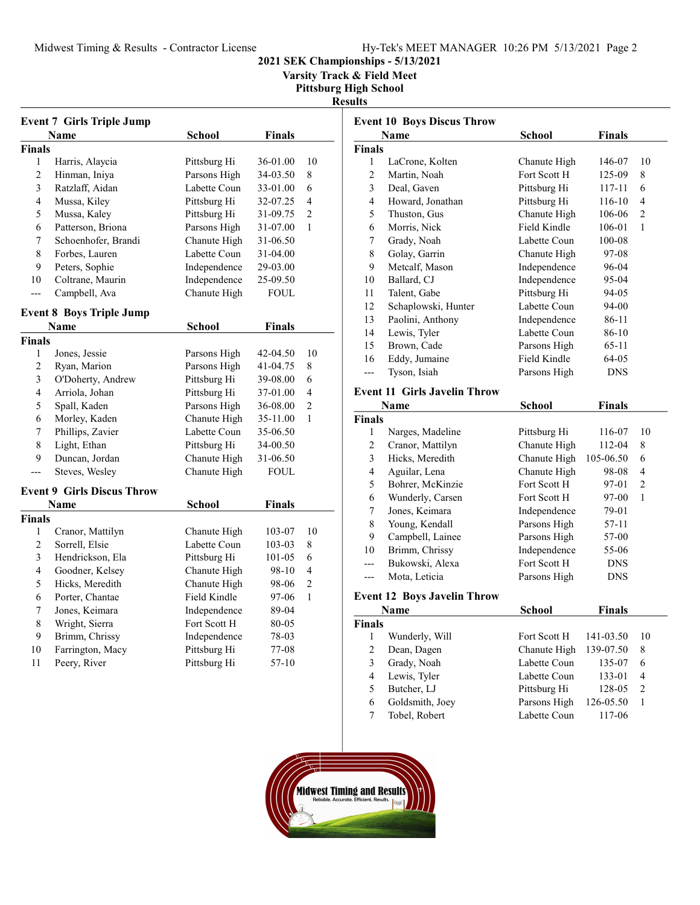Varsity Track & Field Meet

Pittsburg High School

### Results

|                    | <b>Event 7 Girls Triple Jump</b>  |                              |               |                |
|--------------------|-----------------------------------|------------------------------|---------------|----------------|
|                    | Name                              | <b>School</b>                | <b>Finals</b> |                |
| <b>Finals</b>      |                                   |                              |               |                |
| 1                  | Harris, Alaycia                   | Pittsburg Hi                 | 36-01.00      | 10             |
| 2                  | Hinman, Iniya                     | Parsons High                 | 34-03.50      | 8              |
| 3                  | Ratzlaff, Aidan                   | Labette Coun                 | 33-01.00      | 6              |
| 4                  | Mussa, Kiley                      | Pittsburg Hi                 | 32-07.25      | 4              |
| 5                  | Mussa, Kaley                      | Pittsburg Hi                 | 31-09.75      | $\overline{c}$ |
| 6                  | Patterson, Briona                 | Parsons High                 | 31-07.00      | $\mathbf{1}$   |
| 7                  | Schoenhofer, Brandi               | Chanute High                 | 31-06.50      |                |
| 8                  | Forbes, Lauren                    | Labette Coun                 | 31-04.00      |                |
| 9                  | Peters, Sophie                    | Independence                 | 29-03.00      |                |
| 10                 | Coltrane, Maurin                  | Independence                 | 25-09.50      |                |
| ---                | Campbell, Ava                     | Chanute High                 | FOUL          |                |
|                    | <b>Event 8 Boys Triple Jump</b>   |                              |               |                |
|                    | Name                              | <b>School</b>                | <b>Finals</b> |                |
| <b>Finals</b>      |                                   |                              |               |                |
| 1                  | Jones, Jessie                     | Parsons High                 | 42-04.50      | 10             |
| 2                  | Ryan, Marion                      | Parsons High                 | 41-04.75      | 8              |
| 3                  | O'Doherty, Andrew                 | Pittsburg Hi                 | 39-08.00      | 6              |
| 4                  | Arriola, Johan                    | Pittsburg Hi                 | 37-01.00      | 4              |
| 5                  | Spall, Kaden                      | Parsons High                 | 36-08.00      | $\overline{c}$ |
| 6                  | Morley, Kaden                     | Chanute High                 | 35-11.00      | 1              |
| 7                  | Phillips, Zavier                  | Labette Coun                 | 35-06.50      |                |
| 8                  | Light, Ethan                      | Pittsburg Hi                 | 34-00.50      |                |
| 9                  | Duncan, Jordan                    | Chanute High                 | 31-06.50      |                |
|                    | Steves, Wesley                    | Chanute High                 | <b>FOUL</b>   |                |
|                    | <b>Event 9 Girls Discus Throw</b> |                              |               |                |
|                    |                                   |                              |               |                |
|                    | Name                              | <b>School</b>                | <b>Finals</b> |                |
| <b>Finals</b><br>1 | Cranor, Mattilyn                  | Chanute High                 | 103-07        | 10             |
| $\overline{2}$     | Sorrell, Elsie                    | Labette Coun                 | 103-03        | 8              |
| 3                  | Hendrickson, Ela                  | Pittsburg Hi                 | 101-05        | 6              |
| 4                  | Goodner, Kelsey                   | Chanute High                 | 98-10         | 4              |
| 5                  | Hicks, Meredith                   | Chanute High                 | 98-06         | $\overline{2}$ |
| 6                  |                                   |                              |               | $\mathbf{1}$   |
|                    | Porter, Chantae<br>Jones, Keimara | Field Kindle                 | 97-06         |                |
| 7<br>8             |                                   | Independence                 | 89-04         |                |
| 9                  | Wright, Sierra                    | Fort Scott H                 | 80-05         |                |
| 10                 | Brimm, Chrissy                    | Independence<br>Pittsburg Hi | 78-03         |                |
|                    | Farrington, Macy                  |                              | 77-08         |                |
| 11                 | Peery, River                      | Pittsburg Hi                 | 57-10         |                |

|                | <b>Event 10 Boys Discus Throw</b>   |              |               |                |
|----------------|-------------------------------------|--------------|---------------|----------------|
|                | <b>Name</b>                         | School       | <b>Finals</b> |                |
| <b>Finals</b>  |                                     |              |               |                |
| 1              | LaCrone, Kolten                     | Chanute High | 146-07        | 10             |
| 2              | Martin, Noah                        | Fort Scott H | 125-09        | 8              |
| 3              | Deal, Gaven                         | Pittsburg Hi | 117-11        | 6              |
| 4              | Howard, Jonathan                    | Pittsburg Hi | 116-10        | 4              |
| 5              | Thuston, Gus                        | Chanute High | 106-06        | 2              |
| 6              | Morris, Nick                        | Field Kindle | 106-01        | $\mathbf{1}$   |
| 7              | Grady, Noah                         | Labette Coun | 100-08        |                |
| 8              | Golay, Garrin                       | Chanute High | 97-08         |                |
| 9              | Metcalf, Mason                      | Independence | 96-04         |                |
| 10             | Ballard, CJ                         | Independence | 95-04         |                |
| 11             | Talent, Gabe                        | Pittsburg Hi | 94-05         |                |
| 12             | Schaplowski, Hunter                 | Labette Coun | 94-00         |                |
| 13             | Paolini, Anthony                    | Independence | 86-11         |                |
| 14             | Lewis, Tyler                        | Labette Coun | 86-10         |                |
| 15             | Brown, Cade                         | Parsons High | 65-11         |                |
| 16             | Eddy, Jumaine                       | Field Kindle | 64-05         |                |
| ---            | Tyson, Isiah                        | Parsons High | DNS           |                |
|                | <b>Event 11 Girls Javelin Throw</b> |              |               |                |
|                | Name                                | School       | <b>Finals</b> |                |
| <b>Finals</b>  |                                     |              |               |                |
| 1              | Narges, Madeline                    | Pittsburg Hi | 116-07        | 10             |
| 2              | Cranor, Mattilyn                    | Chanute High | 112-04        | 8              |
| 3              | Hicks, Meredith                     | Chanute High | 105-06.50     | 6              |
| 4              | Aguilar, Lena                       | Chanute High | 98-08         | 4              |
| 5              | Bohrer, McKinzie                    | Fort Scott H | 97-01         | $\overline{c}$ |
| 6              | Wunderly, Carsen                    | Fort Scott H | 97-00         | 1              |
| 7              | Jones, Keimara                      | Independence | 79-01         |                |
| 8              | Young, Kendall                      | Parsons High | 57-11         |                |
| 9              | Campbell, Lainee                    | Parsons High | 57-00         |                |
| 10             | Brimm, Chrissy                      | Independence | 55-06         |                |
| ---            | Bukowski, Alexa                     | Fort Scott H | <b>DNS</b>    |                |
| $---$          | Mota, Leticia                       | Parsons High | DNS           |                |
|                | <b>Event 12 Boys Javelin Throw</b>  |              |               |                |
|                | Name                                | School       | <b>Finals</b> |                |
| Finals         |                                     |              |               |                |
| 1              | Wunderly, Will                      | Fort Scott H | 141-03.50     | 10             |
| $\overline{c}$ | Dean, Dagen                         | Chanute High | 139-07.50     | 8              |
| 3              | Grady, Noah                         | Labette Coun | 135-07        | 6              |
| 4              | Lewis, Tyler                        | Labette Coun | 133-01        | 4              |
| 5              | Butcher, LJ                         | Pittsburg Hi | 128-05        | $\overline{c}$ |
| 6              | Goldsmith, Joey                     | Parsons High | 126-05.50     | $\mathbf{1}$   |
| 7              | Tobel, Robert                       | Labette Coun | 117-06        |                |
|                |                                     |              |               |                |

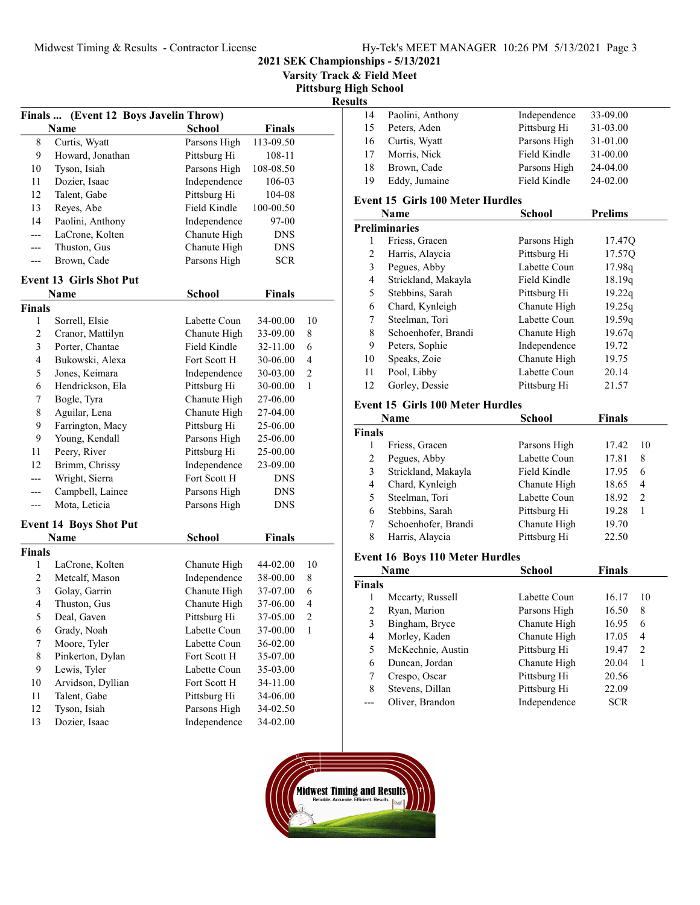2021 SEK Championships - 5/13/2021

Varsity Track & Field Meet

Pittsburg High School

## Results

| 33-09.00<br>Paolini, Anthony<br>Independence<br>14<br>31-03.00<br>Pittsburg Hi<br>Peters, Aden<br>15<br>31-01.00<br>Curtis, Wyatt<br>Parsons High<br>16<br>Morris, Nick<br>Field Kindle<br>31-00.00<br>17<br>24-04.00<br>Brown, Cade<br>Parsons High<br>18<br>24-02.00<br>Eddy, Jumaine<br>Field Kindle<br>19 |  |  |
|---------------------------------------------------------------------------------------------------------------------------------------------------------------------------------------------------------------------------------------------------------------------------------------------------------------|--|--|
|                                                                                                                                                                                                                                                                                                               |  |  |
|                                                                                                                                                                                                                                                                                                               |  |  |
|                                                                                                                                                                                                                                                                                                               |  |  |
|                                                                                                                                                                                                                                                                                                               |  |  |
|                                                                                                                                                                                                                                                                                                               |  |  |
|                                                                                                                                                                                                                                                                                                               |  |  |

#### Event 15 Girls 100 Meter Hurdles

|    | Name                 | School       | <b>Prelims</b> |
|----|----------------------|--------------|----------------|
|    | <b>Preliminaries</b> |              |                |
| 1  | Friess, Gracen       | Parsons High | 17.47Q         |
| 2  | Harris, Alaycia      | Pittsburg Hi | 17.57Q         |
| 3  | Pegues, Abby         | Labette Coun | 17.98g         |
| 4  | Strickland, Makayla  | Field Kindle | 18.19q         |
| 5  | Stebbins, Sarah      | Pittsburg Hi | 19.22q         |
| 6  | Chard, Kynleigh      | Chanute High | 19.25q         |
| 7  | Steelman, Tori       | Labette Coun | 19.59q         |
| 8  | Schoenhofer, Brandi  | Chanute High | 19.67q         |
| 9  | Peters, Sophie       | Independence | 19.72          |
| 10 | Speaks, Zoie         | Chanute High | 19.75          |
| 11 | Pool, Libby          | Labette Coun | 20.14          |
| 12 | Gorley, Dessie       | Pittsburg Hi | 21.57          |

### Event 15 Girls 100 Meter Hurdles

|               | Name                | School       | <b>Finals</b> |                |
|---------------|---------------------|--------------|---------------|----------------|
| <b>Finals</b> |                     |              |               |                |
|               | Friess, Gracen      | Parsons High | 17.42         | -10            |
| 2             | Pegues, Abby        | Labette Coun | 17.81         | 8              |
| 3             | Strickland, Makayla | Field Kindle | 17.95         | 6              |
| 4             | Chard, Kynleigh     | Chanute High | 18.65         | $\overline{4}$ |
| 5             | Steelman, Tori      | Labette Coun | 18.92         | $\mathcal{L}$  |
| 6             | Stebbins, Sarah     | Pittsburg Hi | 19.28         |                |
| 7             | Schoenhofer, Brandi | Chanute High | 19.70         |                |
| 8             | Harris, Alaycia     | Pittsburg Hi | 22.50         |                |

### Event 16 Boys 110 Meter Hurdles

|               | <b>Name</b>       | School       | <b>Finals</b> |                |
|---------------|-------------------|--------------|---------------|----------------|
| <b>Finals</b> |                   |              |               |                |
| 1             | Mccarty, Russell  | Labette Coun | 16.17         | 10             |
| 2             | Ryan, Marion      | Parsons High | 16.50         | 8              |
| 3             | Bingham, Bryce    | Chanute High | 16.95         | 6              |
| 4             | Morley, Kaden     | Chanute High | 17.05         | 4              |
| 5             | McKechnie, Austin | Pittsburg Hi | 19.47         | $\mathfrak{D}$ |
| 6             | Duncan, Jordan    | Chanute High | 20.04         | 1              |
| 7             | Crespo, Oscar     | Pittsburg Hi | 20.56         |                |
| 8             | Stevens, Dillan   | Pittsburg Hi | 22.09         |                |
|               | Oliver, Brandon   | Independence | SCR           |                |



| Finals  (Event 12 Boys Javelin Throw) |                                |               |               |                |  |
|---------------------------------------|--------------------------------|---------------|---------------|----------------|--|
|                                       | <b>Name</b>                    | <b>School</b> | <b>Finals</b> |                |  |
| 8                                     | Curtis, Wyatt                  | Parsons High  | 113-09.50     |                |  |
| 9                                     | Howard, Jonathan               | Pittsburg Hi  | 108-11        |                |  |
| 10                                    | Tyson, Isiah                   | Parsons High  | 108-08.50     |                |  |
| 11                                    | Dozier, Isaac                  | Independence  | 106-03        |                |  |
| 12                                    | Talent, Gabe                   | Pittsburg Hi  | 104-08        |                |  |
| 13                                    | Reyes, Abe                     | Field Kindle  | 100-00.50     |                |  |
| 14                                    | Paolini, Anthony               | Independence  | 97-00         |                |  |
| ---                                   | LaCrone, Kolten                | Chanute High  | <b>DNS</b>    |                |  |
| ---                                   | Thuston, Gus                   | Chanute High  | <b>DNS</b>    |                |  |
| ---                                   | Brown, Cade                    | Parsons High  | <b>SCR</b>    |                |  |
|                                       | <b>Event 13 Girls Shot Put</b> |               |               |                |  |
|                                       | Name                           | School        | <b>Finals</b> |                |  |
| <b>Finals</b>                         |                                |               |               |                |  |
| 1                                     | Sorrell, Elsie                 | Labette Coun  | 34-00.00      | 10             |  |
| 2                                     | Cranor, Mattilyn               | Chanute High  | 33-09.00      | 8              |  |
| 3                                     | Porter, Chantae                | Field Kindle  | 32-11.00      | 6              |  |
| 4                                     | Bukowski, Alexa                | Fort Scott H  | 30-06.00      | $\overline{4}$ |  |
| 5                                     | Jones, Keimara                 | Independence  | 30-03.00      | $\overline{c}$ |  |
| 6                                     | Hendrickson, Ela               | Pittsburg Hi  | 30-00.00      | $\mathbf{1}$   |  |
| 7                                     | Bogle, Tyra                    | Chanute High  | 27-06.00      |                |  |
| 8                                     | Aguilar, Lena                  | Chanute High  | 27-04.00      |                |  |
| 9                                     | Farrington, Macy               | Pittsburg Hi  | 25-06.00      |                |  |
| 9                                     | Young, Kendall                 | Parsons High  | 25-06.00      |                |  |
| 11                                    | Peery, River                   | Pittsburg Hi  | 25-00.00      |                |  |
| 12                                    | Brimm, Chrissy                 | Independence  | 23-09.00      |                |  |
|                                       | Wright, Sierra                 | Fort Scott H  | <b>DNS</b>    |                |  |
|                                       | Campbell, Lainee               | Parsons High  | <b>DNS</b>    |                |  |
|                                       | Mota, Leticia                  | Parsons High  | <b>DNS</b>    |                |  |
|                                       | <b>Event 14 Boys Shot Put</b>  |               |               |                |  |
|                                       | Name                           | <b>School</b> | <b>Finals</b> |                |  |
| <b>Finals</b>                         |                                |               |               |                |  |
| 1                                     | LaCrone, Kolten                | Chanute High  | 44-02.00      | 10             |  |
| $\overline{2}$                        | Metcalf, Mason                 | Independence  | 38-00.00      | 8              |  |

| HINAIS |                   |              |          |    |
|--------|-------------------|--------------|----------|----|
| 1      | LaCrone, Kolten   | Chanute High | 44-02.00 | 10 |
| 2      | Metcalf, Mason    | Independence | 38-00.00 | 8  |
| 3      | Golay, Garrin     | Chanute High | 37-07.00 | 6  |
| 4      | Thuston, Gus      | Chanute High | 37-06.00 | 4  |
| 5      | Deal, Gaven       | Pittsburg Hi | 37-05.00 | 2  |
| 6      | Grady, Noah       | Labette Coun | 37-00.00 | 1  |
| 7      | Moore, Tyler      | Labette Coun | 36-02.00 |    |
| 8      | Pinkerton, Dylan  | Fort Scott H | 35-07.00 |    |
| 9      | Lewis, Tyler      | Labette Coun | 35-03.00 |    |
| 10     | Arvidson, Dyllian | Fort Scott H | 34-11.00 |    |
| 11     | Talent, Gabe      | Pittsburg Hi | 34-06.00 |    |
| 12     | Tyson, Isiah      | Parsons High | 34-02.50 |    |
| 13     | Dozier, Isaac     | Independence | 34-02.00 |    |
|        |                   |              |          |    |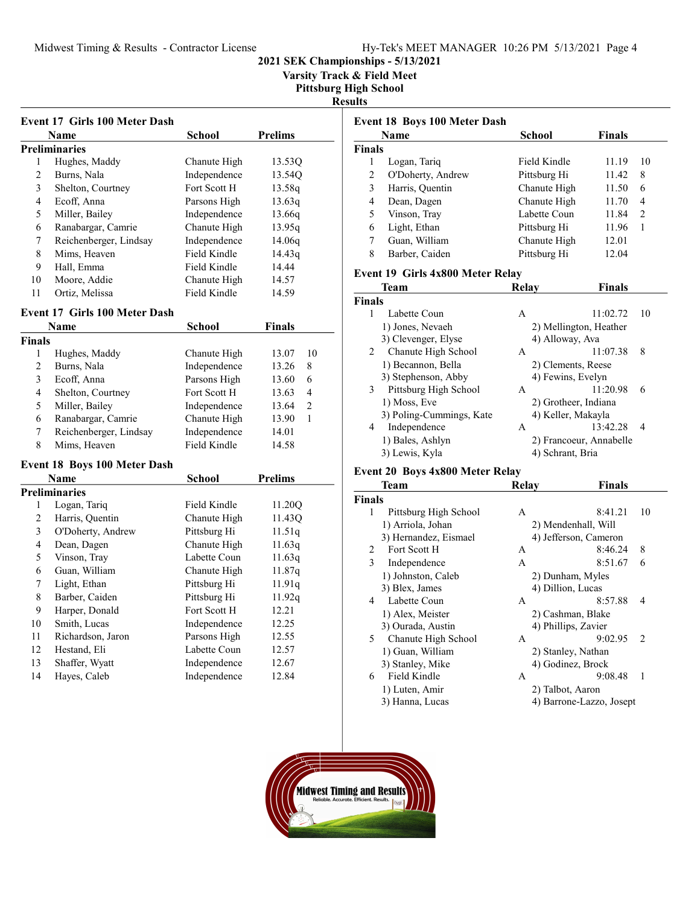Varsity Track & Field Meet

Pittsburg High School

Results

|    | Name                   | School       | <b>Prelims</b> |
|----|------------------------|--------------|----------------|
|    | <b>Preliminaries</b>   |              |                |
| 1  | Hughes, Maddy          | Chanute High | 13.530         |
| 2  | Burns, Nala            | Independence | 13.540         |
| 3  | Shelton, Courtney      | Fort Scott H | 13.58q         |
| 4  | Ecoff, Anna            | Parsons High | 13.63q         |
| 5  | Miller, Bailey         | Independence | 13.66g         |
| 6  | Ranabargar, Camrie     | Chanute High | 13.95q         |
| 7  | Reichenberger, Lindsay | Independence | 14.06g         |
| 8  | Mims, Heaven           | Field Kindle | 14.43q         |
| 9  | Hall, Emma             | Field Kindle | 14.44          |
| 10 | Moore, Addie           | Chanute High | 14.57          |
| 11 | Ortiz, Melissa         | Field Kindle | 14.59          |

## Event 17 Girls 100 Meter Dash

|               | Name                   | <b>School</b> | <b>Finals</b> |               |
|---------------|------------------------|---------------|---------------|---------------|
| <b>Finals</b> |                        |               |               |               |
|               | Hughes, Maddy          | Chanute High  | 13.07         | 10            |
| 2             | Burns, Nala            | Independence  | 13.26         | 8             |
| 3             | Ecoff, Anna            | Parsons High  | 13.60         | 6             |
| 4             | Shelton, Courtney      | Fort Scott H  | 13.63         | 4             |
| 5             | Miller, Bailey         | Independence  | 13.64         | $\mathcal{L}$ |
| 6             | Ranabargar, Camrie     | Chanute High  | 13.90         |               |
|               | Reichenberger, Lindsay | Independence  | 14.01         |               |
| 8             | Mims, Heaven           | Field Kindle  | 14.58         |               |

### Event 18 Boys 100 Meter Dash

| Name |                   | <b>School</b> | <b>Prelims</b>     |  |
|------|-------------------|---------------|--------------------|--|
|      | Preliminaries     |               |                    |  |
| 1    | Logan, Tariq      | Field Kindle  | 11.20 <sub>O</sub> |  |
| 2    | Harris, Quentin   | Chanute High  | 11.43 <sub>O</sub> |  |
| 3    | O'Doherty, Andrew | Pittsburg Hi  | 11.51q             |  |
| 4    | Dean, Dagen       | Chanute High  | 11.63q             |  |
| 5    | Vinson, Tray      | Labette Coun  | 11.63q             |  |
| 6    | Guan, William     | Chanute High  | 11.87q             |  |
| 7    | Light, Ethan      | Pittsburg Hi  | 11.91q             |  |
| 8    | Barber, Caiden    | Pittsburg Hi  | 11.92q             |  |
| 9    | Harper, Donald    | Fort Scott H  | 12.21              |  |
| 10   | Smith, Lucas      | Independence  | 12.25              |  |
| 11   | Richardson, Jaron | Parsons High  | 12.55              |  |
| 12   | Hestand, Eli      | Labette Coun  | 12.57              |  |
| 13   | Shaffer, Wyatt    | Independence  | 12.67              |  |
| 14   | Hayes, Caleb      | Independence  | 12.84              |  |

|                | <b>Name</b>                      | <b>School</b> | <b>Finals</b> |                |
|----------------|----------------------------------|---------------|---------------|----------------|
| <b>Finals</b>  |                                  |               |               |                |
| 1              | Logan, Tariq                     | Field Kindle  | 11.19         | 10             |
| $\overline{c}$ | O'Doherty, Andrew                | Pittsburg Hi  | 11.42         | 8              |
| 3              | Harris, Quentin                  | Chanute High  | 11.50         | 6              |
| 4              | Dean, Dagen                      | Chanute High  | 11.70         | $\overline{4}$ |
| 5              | Vinson, Tray                     | Labette Coun  | 11.84         | 2              |
| 6              | Light, Ethan                     | Pittsburg Hi  | 11.96         | 1              |
| 7              | Guan, William                    | Chanute High  | 12.01         |                |
| 8              | Barber, Caiden                   | Pittsburg Hi  | 12.04         |                |
|                | Event 19 Girls 4x800 Meter Relay |               |               |                |
|                | <b>Team</b>                      | Relay         | <b>Finals</b> |                |

| `inals |                          |   |                         |    |
|--------|--------------------------|---|-------------------------|----|
|        | Labette Coun             | A | 11:02.72                | 10 |
|        | 1) Jones, Nevaeh         |   | 2) Mellington, Heather  |    |
|        | 3) Clevenger, Elyse      |   | 4) Alloway, Ava         |    |
| 2      | Chanute High School      | A | 11:07.38                | 8  |
|        | 1) Becannon, Bella       |   | 2) Clements, Reese      |    |
|        | 3) Stephenson, Abby      |   | 4) Fewins, Evelyn       |    |
| 3      | Pittsburg High School    | A | 11:20.98                | 6  |
|        | 1) Moss, Eve             |   | 2) Grotheer, Indiana    |    |
|        | 3) Poling-Cummings, Kate |   | 4) Keller, Makayla      |    |
| 4      | Independence             | A | 13:42.28                | 4  |
|        | 1) Bales, Ashlyn         |   | 2) Francoeur, Annabelle |    |
|        | 3) Lewis, Kyla           |   | 4) Schrant, Bria        |    |
|        |                          |   |                         |    |

# Event 20 Boys 4x800 Meter Relay<br>Team

|               | Team                  | Relav               | <b>Finals</b>            |
|---------------|-----------------------|---------------------|--------------------------|
| <b>Finals</b> |                       |                     |                          |
| 1             | Pittsburg High School | A                   | 8:41.21<br>10            |
|               | 1) Arriola, Johan     | 2) Mendenhall, Will |                          |
|               | 3) Hernandez, Eismael |                     | 4) Jefferson, Cameron    |
| 2             | Fort Scott H          | А                   | 8:46.24<br>8             |
| 3             | Independence          | A                   | 8:51.67<br>6             |
|               | 1) Johnston, Caleb    | 2) Dunham, Myles    |                          |
|               | 3) Blex, James        | 4) Dillion, Lucas   |                          |
| 4             | Labette Coun          | A                   | 8:57.88<br>4             |
|               | 1) Alex, Meister      |                     | 2) Cashman, Blake        |
|               | 3) Ourada, Austin     | 4) Phillips, Zavier |                          |
| 5.            | Chanute High School   | A                   | 9:02.95<br>2             |
|               | 1) Guan, William      |                     | 2) Stanley, Nathan       |
|               | 3) Stanley, Mike      |                     | 4) Godinez, Brock        |
| 6             | Field Kindle          | A                   | 9:08.48<br>1             |
|               | 1) Luten, Amir        | 2) Talbot, Aaron    |                          |
|               | 3) Hanna, Lucas       |                     | 4) Barrone-Lazzo, Josept |
|               |                       |                     |                          |

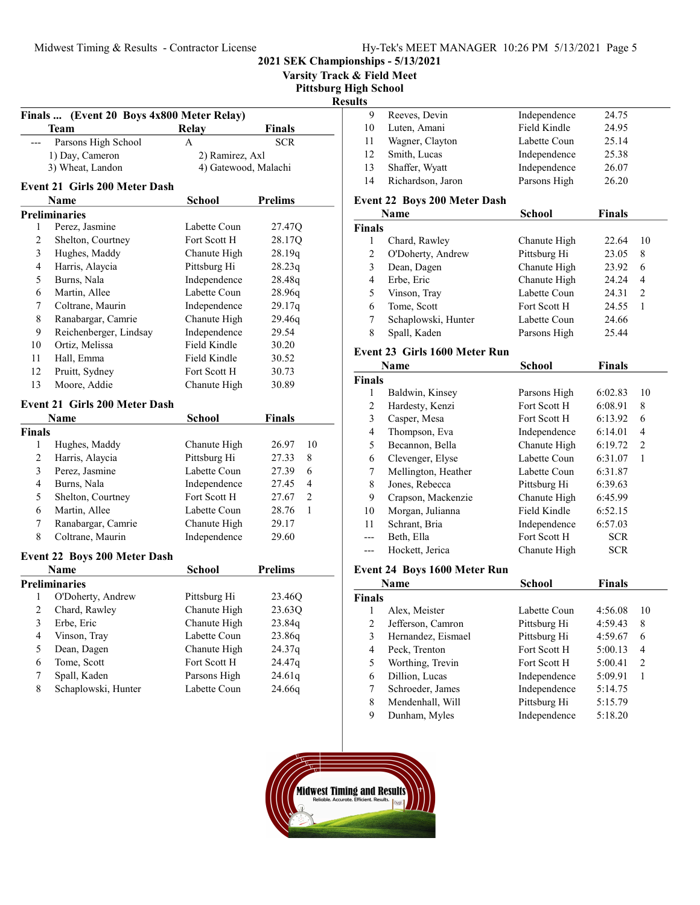|                | (Event 20 Boys 4x800 Meter Relay)<br>Finals |                              |                  |
|----------------|---------------------------------------------|------------------------------|------------------|
|                | Team                                        | <b>Relay</b>                 | <b>Finals</b>    |
| ---            | Parsons High School                         | A                            | <b>SCR</b>       |
|                | 1) Day, Cameron                             | 2) Ramirez, Axl              |                  |
|                | 3) Wheat, Landon                            | 4) Gatewood, Malachi         |                  |
|                | <b>Event 21 Girls 200 Meter Dash</b>        |                              |                  |
|                | Name                                        | <b>School</b>                | <b>Prelims</b>   |
|                | <b>Preliminaries</b>                        |                              |                  |
| 1              | Perez, Jasmine                              | Labette Coun                 | 27.47Q           |
| 2              | Shelton, Courtney                           | Fort Scott H                 | 28.17Q           |
| 3              | Hughes, Maddy                               | Chanute High                 | 28.19q           |
| 4              | Harris, Alaycia                             | Pittsburg Hi                 | 28.23q           |
| 5              | Burns, Nala                                 | Independence                 | 28.48q           |
| 6              | Martin, Allee                               | Labette Coun                 | 28.96q           |
| 7              | Coltrane, Maurin                            | Independence                 | 29.17q           |
| 8              | Ranabargar, Camrie                          | Chanute High                 | 29.46q           |
| 9              | Reichenberger, Lindsay                      | Independence                 | 29.54            |
| 10             | Ortiz, Melissa                              | Field Kindle                 | 30.20            |
| 11             | Hall, Emma                                  | Field Kindle                 | 30.52            |
| 12             | Pruitt, Sydney                              | Fort Scott H                 | 30.73            |
| 13             | Moore, Addie                                | Chanute High                 | 30.89            |
|                | <b>Event 21 Girls 200 Meter Dash</b>        |                              |                  |
|                | Name                                        | <b>School</b>                | <b>Finals</b>    |
| <b>Finals</b>  |                                             |                              |                  |
| 1              | Hughes, Maddy                               | Chanute High                 | 26.97<br>10      |
| $\overline{c}$ | Harris, Alaycia                             | Pittsburg Hi                 | 27.33<br>8       |
| 3              | Perez, Jasmine                              | Labette Coun                 | 6<br>27.39       |
| 4              | Burns, Nala                                 | Independence                 | 27.45<br>4       |
| 5              | Shelton, Courtney                           | Fort Scott H                 | 2<br>27.67       |
| 6              | Martin, Allee                               | Labette Coun                 | 28.76<br>1       |
| 7              | Ranabargar, Camrie                          | Chanute High                 | 29.17            |
| 8              | Coltrane, Maurin                            | Independence                 | 29.60            |
|                | <b>Event 22 Boys 200 Meter Dash</b>         |                              |                  |
|                | <b>Name</b>                                 | <b>School</b>                | <b>Prelims</b>   |
|                | <b>Preliminaries</b>                        |                              |                  |
| $\mathbf{1}$   | O'Doherty, Andrew                           | Pittsburg Hi                 | 23.46Q           |
| $\overline{c}$ | Chard, Rawley                               | Chanute High                 | 23.63Q           |
|                | Erbe, Eric                                  | Chanute High                 | 23.84q           |
| 3              | Vinson, Tray                                | Labette Coun                 | 23.86q           |
| 4              |                                             |                              |                  |
|                |                                             |                              |                  |
| 5              | Dean, Dagen                                 | Chanute High<br>Fort Scott H | 24.37q           |
| 6<br>7         | Tome, Scott<br>Spall, Kaden                 | Parsons High                 | 24.47q<br>24.61q |

| 2021 SEK Championships - 5/13/2021 |  |  |
|------------------------------------|--|--|
|                                    |  |  |

Varsity Track & Field Meet

**High School** 

## $s$ ults

| 9   | Reeves, Devin     | Independence | 24.75 |
|-----|-------------------|--------------|-------|
| 10  | Luten, Amani      | Field Kindle | 24.95 |
| -11 | Wagner, Clayton   | Labette Coun | 25.14 |
| 12  | Smith, Lucas      | Independence | 25.38 |
| 13  | Shaffer, Wyatt    | Independence | 26.07 |
| 14  | Richardson, Jaron | Parsons High | 26.20 |

### Event 22 Boys 200 Meter Dash

|               | Name                | <b>School</b> | <b>Finals</b> |               |
|---------------|---------------------|---------------|---------------|---------------|
| <b>Finals</b> |                     |               |               |               |
|               | Chard, Rawley       | Chanute High  | 22.64         | 10            |
| 2             | O'Doherty, Andrew   | Pittsburg Hi  | 23.05         | 8             |
| 3             | Dean, Dagen         | Chanute High  | 23.92         | 6             |
| 4             | Erbe, Eric          | Chanute High  | 24.24         | 4             |
| 5             | Vinson, Tray        | Labette Coun  | 24.31         | $\mathcal{L}$ |
| 6             | Tome, Scott         | Fort Scott H  | 24.55         |               |
|               | Schaplowski, Hunter | Labette Coun  | 24.66         |               |
| 8             | Spall, Kaden        | Parsons High  | 25.44         |               |

#### Event 23 Girls 1600 Meter Run

|               | Name                | <b>School</b> | <b>Finals</b> |               |
|---------------|---------------------|---------------|---------------|---------------|
| <b>Finals</b> |                     |               |               |               |
| 1             | Baldwin, Kinsey     | Parsons High  | 6:02.83       | 10            |
| 2             | Hardesty, Kenzi     | Fort Scott H  | 6:08.91       | 8             |
| 3             | Casper, Mesa        | Fort Scott H  | 6:13.92       | 6             |
| 4             | Thompson, Eva       | Independence  | 6:14.01       | 4             |
| 5             | Becannon, Bella     | Chanute High  | 6:19.72       | $\mathcal{L}$ |
| 6             | Clevenger, Elyse    | Labette Coun  | 6:31.07       | 1             |
| 7             | Mellington, Heather | Labette Coun  | 6:31.87       |               |
| 8             | Jones, Rebecca      | Pittsburg Hi  | 6:39.63       |               |
| 9             | Crapson, Mackenzie  | Chanute High  | 6:45.99       |               |
| 10            | Morgan, Julianna    | Field Kindle  | 6:52.15       |               |
| 11            | Schrant, Bria       | Independence  | 6:57.03       |               |
|               | Beth, Ella          | Fort Scott H  | <b>SCR</b>    |               |
|               | Hockett, Jerica     | Chanute High  | <b>SCR</b>    |               |
|               |                     |               |               |               |

### Event 24 Boys 1600 Meter Run

| <b>Name</b>   |                    | School       | <b>Finals</b> |    |
|---------------|--------------------|--------------|---------------|----|
| <b>Finals</b> |                    |              |               |    |
|               | Alex, Meister      | Labette Coun | 4:56.08       | 10 |
| 2             | Jefferson, Camron  | Pittsburg Hi | 4:59.43       | 8  |
| 3             | Hernandez, Eismael | Pittsburg Hi | 4:59.67       | 6  |
| 4             | Peck, Trenton      | Fort Scott H | 5:00.13       | 4  |
| 5             | Worthing, Trevin   | Fort Scott H | 5:00.41       | 2  |
| 6             | Dillion, Lucas     | Independence | 5:09.91       | 1  |
| 7             | Schroeder, James   | Independence | 5:14.75       |    |
| 8             | Mendenhall, Will   | Pittsburg Hi | 5:15.79       |    |
| 9             | Dunham, Myles      | Independence | 5:18.20       |    |

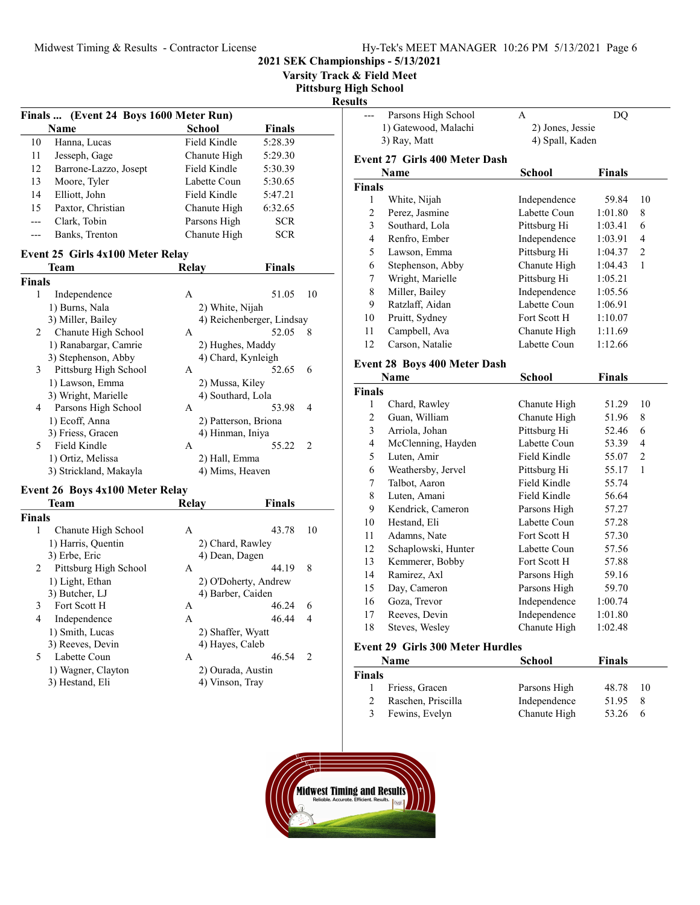Varsity Track & Field Meet

Pittsburg High School

#### Results

|    | Finals  (Event 24 Boys 1600 Meter Run) |              |               |  |
|----|----------------------------------------|--------------|---------------|--|
|    | Name                                   | School       | <b>Finals</b> |  |
| 10 | Hanna, Lucas                           | Field Kindle | 5:28.39       |  |
| 11 | Jesseph, Gage                          | Chanute High | 5:29.30       |  |
| 12 | Barrone-Lazzo, Josept                  | Field Kindle | 5:30.39       |  |
| 13 | Moore, Tyler                           | Labette Coun | 5:30.65       |  |
| 14 | Elliott, John                          | Field Kindle | 5:47.21       |  |
| 15 | Paxtor, Christian                      | Chanute High | 6:32.65       |  |
|    | Clark, Tobin                           | Parsons High | <b>SCR</b>    |  |
|    | Banks, Trenton                         | Chanute High | <b>SCR</b>    |  |

### Event 25 Girls 4x100 Meter Relay

|        | <b>Team</b>            | Relay           | Finals                    |
|--------|------------------------|-----------------|---------------------------|
| Finals |                        |                 |                           |
| 1      | Independence           | A               | 51.05<br>10               |
|        | 1) Burns, Nala         | 2) White, Nijah |                           |
|        | 3) Miller, Bailey      |                 | 4) Reichenberger, Lindsay |
| 2      | Chanute High School    | A               | 52.05<br>8                |
|        | 1) Ranabargar, Camrie  |                 | 2) Hughes, Maddy          |
|        | 3) Stephenson, Abby    |                 | 4) Chard, Kynleigh        |
| 3      | Pittsburg High School  | A               | 52.65<br>6                |
|        | 1) Lawson, Emma        |                 | 2) Mussa, Kiley           |
|        | 3) Wright, Marielle    |                 | 4) Southard, Lola         |
| 4      | Parsons High School    | A               | 53.98<br>4                |
|        | 1) Ecoff, Anna         |                 | 2) Patterson, Briona      |
|        | 3) Friess, Gracen      |                 | 4) Hinman, Iniya          |
| 5      | Field Kindle           | A               | 55.22<br>2                |
|        | 1) Ortiz, Melissa      | 2) Hall, Emma   |                           |
|        | 3) Strickland, Makayla |                 | 4) Mims, Heaven           |
|        |                        |                 |                           |

#### Event 26 Boys 4x100 Meter Relay

|               | Team                  | Relay             | Finals               |               |
|---------------|-----------------------|-------------------|----------------------|---------------|
| <b>Finals</b> |                       |                   |                      |               |
| 1             | Chanute High School   | А                 | 43.78                | 10            |
|               | 1) Harris, Quentin    | 2) Chard, Rawley  |                      |               |
|               | 3) Erbe, Eric         | 4) Dean, Dagen    |                      |               |
| 2             | Pittsburg High School | A                 | 44.19                | 8             |
|               | 1) Light, Ethan       |                   | 2) O'Doherty, Andrew |               |
|               | 3) Butcher, LJ        | 4) Barber, Caiden |                      |               |
| 3             | Fort Scott H          | А                 | 46.24                | 6             |
| 4             | Independence          | A                 | 46.44                | 4             |
|               | 1) Smith, Lucas       | 2) Shaffer, Wyatt |                      |               |
|               | 3) Reeves, Devin      | 4) Hayes, Caleb   |                      |               |
| 5             | Labette Coun          | A                 | 46.54                | $\mathcal{L}$ |
|               | 1) Wagner, Clayton    | 2) Ourada, Austin |                      |               |
|               | 3) Hestand, Eli       | 4) Vinson, Tray   |                      |               |

| ultə           |                                     |                  |               |                |
|----------------|-------------------------------------|------------------|---------------|----------------|
| ---            | Parsons High School                 | A                | DQ            |                |
|                | 1) Gatewood, Malachi                | 2) Jones, Jessie |               |                |
|                | 3) Ray, Matt                        | 4) Spall, Kaden  |               |                |
|                | Event 27 Girls 400 Meter Dash       |                  |               |                |
|                | <b>Name</b>                         | School           | <b>Finals</b> |                |
| <b>Finals</b>  |                                     |                  |               |                |
| 1              | White, Nijah                        | Independence     | 59.84         | 10             |
| $\overline{c}$ | Perez, Jasmine                      | Labette Coun     | 1:01.80       | 8              |
| 3              | Southard, Lola                      | Pittsburg Hi     | 1:03.41       | 6              |
| 4              | Renfro, Ember                       | Independence     | 1:03.91       | $\overline{4}$ |
| 5              | Lawson, Emma                        | Pittsburg Hi     | 1:04.37       | $\overline{c}$ |
| 6              | Stephenson, Abby                    | Chanute High     | 1:04.43       | $\mathbf{1}$   |
| 7              | Wright, Marielle                    | Pittsburg Hi     | 1:05.21       |                |
| 8              | Miller, Bailey                      | Independence     | 1:05.56       |                |
| 9              | Ratzlaff, Aidan                     | Labette Coun     | 1:06.91       |                |
| 10             | Pruitt, Sydney                      | Fort Scott H     | 1:10.07       |                |
| 11             | Campbell, Ava                       | Chanute High     | 1:11.69       |                |
| 12             | Carson, Natalie                     | Labette Coun     | 1:12.66       |                |
|                | <b>Event 28 Boys 400 Meter Dash</b> |                  |               |                |
|                | Name                                | <b>School</b>    | Finals        |                |
| <b>Finals</b>  |                                     |                  |               |                |
| 1              | Chard, Rawley                       | Chanute High     | 51.29         | 10             |
| $\overline{2}$ | Guan, William                       | Chanute High     | 51.96         | 8              |
| $\mathfrak{Z}$ | Arriola, Johan                      | Pittsburg Hi     | 52.46         | 6              |
| 4              | McClenning, Hayden                  | Labette Coun     | 53.39         | 4              |
| 5              | Luten, Amir                         | Field Kindle     | 55.07         | $\overline{2}$ |
| 6              | Weathersby, Jervel                  | Pittsburg Hi     | 55.17         | 1              |
| 7              | Talbot, Aaron                       | Field Kindle     | 55.74         |                |
| 8              | Luten, Amani                        | Field Kindle     | 56.64         |                |
| 9              | Kendrick, Cameron                   | Parsons High     | 57.27         |                |
| 10             | Hestand, Eli                        | Labette Coun     | 57.28         |                |
| 11             | Adamns, Nate                        | Fort Scott H     | 57.30         |                |
| 12             | Schaplowski, Hunter                 | Labette Coun     | 57.56         |                |
| 13             | Kemmerer, Bobby                     | Fort Scott H     | 57.88         |                |
| 14             | Ramirez, Axl                        | Parsons High     | 59.16         |                |
| 15             | Day, Cameron                        | Parsons High     | 59.70         |                |
| 16             | Goza, Trevor                        | Independence     | 1:00.74       |                |
| 17             | Reeves, Devin                       | Independence     | 1:01.80       |                |
| 18             | Steves, Wesley                      | Chanute High     | 1:02.48       |                |
|                |                                     |                  |               |                |

### Event 29 Girls 300 Meter Hurdles

|        | <b>Name</b>        | School       | <b>Finals</b> |     |
|--------|--------------------|--------------|---------------|-----|
| Finals |                    |              |               |     |
| L      | Friess, Gracen     | Parsons High | 48.78         | 10  |
| 2      | Raschen, Priscilla | Independence | 51.95         | -8  |
| 3      | Fewins, Evelyn     | Chanute High | 53.26         | - 6 |

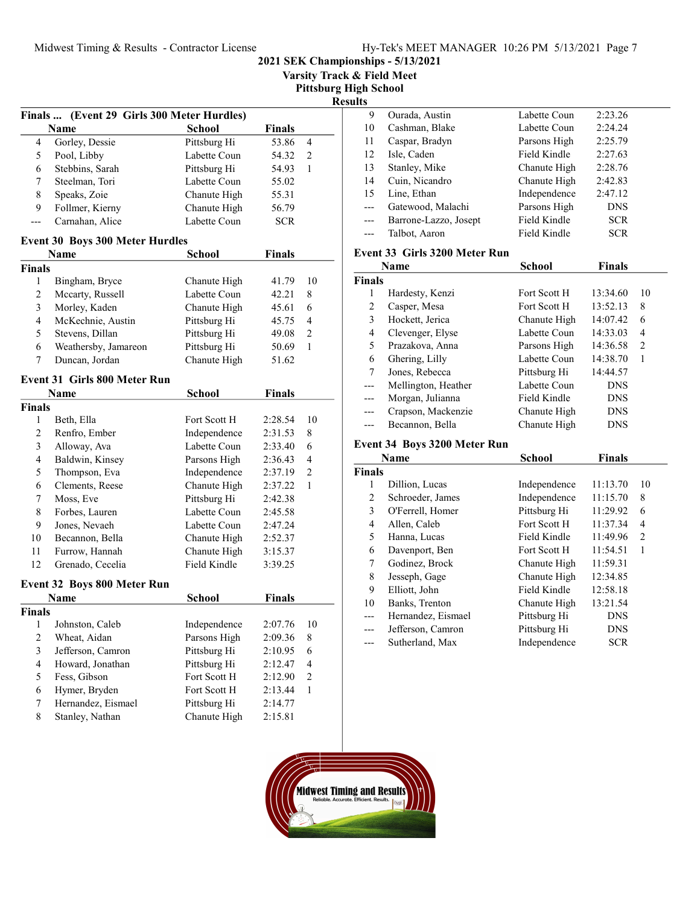|                | Midwest Timing & Results - Contractor License |                              |                    |        | Varsity Track & Field Meet   | Hy-Tek's MEET N<br>2021 SEK Championships - 5/13/2021 |
|----------------|-----------------------------------------------|------------------------------|--------------------|--------|------------------------------|-------------------------------------------------------|
|                |                                               |                              |                    |        | <b>Pittsburg High School</b> |                                                       |
|                |                                               |                              |                    |        | <b>Results</b>               |                                                       |
|                | Finals  (Event 29 Girls 300 Meter Hurdles)    |                              |                    |        | 9                            | Ourada, Aust                                          |
|                | Name                                          | School                       | <b>Finals</b>      |        | 10                           | Cashman, Bla                                          |
| 4              | Gorley, Dessie                                | Pittsburg Hi                 | 53.86              | 4      | 11                           | Caspar, Brady                                         |
| 5              | Pool, Libby                                   | Labette Coun                 | 54.32              | 2      | 12                           | Isle, Caden                                           |
| 6              | Stebbins, Sarah                               | Pittsburg Hi                 | 54.93              | 1      | 13                           | Stanley, Mike                                         |
| 7              | Steelman, Tori                                | Labette Coun                 | 55.02              |        | 14                           | Cuin, Nicand                                          |
| $\,$ 8 $\,$    | Speaks, Zoie                                  | Chanute High                 | 55.31              |        | 15                           | Line, Ethan                                           |
| 9              | Follmer, Kierny                               | Chanute High                 | 56.79              |        | $---$                        | Gatewood, M                                           |
| $---$          | Carnahan, Alice                               | Labette Coun                 | <b>SCR</b>         |        | ---                          | Barrone-Lazz                                          |
|                | <b>Event 30 Boys 300 Meter Hurdles</b>        |                              |                    |        | ---                          | Talbot, Aaron                                         |
|                | Name                                          | <b>School</b>                | <b>Finals</b>      |        |                              | Event 33 Girls 320                                    |
| <b>Finals</b>  |                                               |                              |                    |        |                              | <b>Name</b>                                           |
| 1              | Bingham, Bryce                                | Chanute High                 | 41.79              | 10     | <b>Finals</b>                |                                                       |
| $\sqrt{2}$     | Mccarty, Russell                              | Labette Coun                 | 42.21              | 8      | 1                            | Hardesty, Ker                                         |
| $\mathfrak{Z}$ | Morley, Kaden                                 | Chanute High                 | 45.61              | 6      | $\sqrt{2}$                   | Casper, Mesa                                          |
| $\overline{4}$ | McKechnie, Austin                             | Pittsburg Hi                 | 45.75              | 4      | 3                            | Hockett, Jeric                                        |
| 5              | Stevens, Dillan                               | Pittsburg Hi                 | 49.08              | 2      | $\overline{\mathbf{4}}$      | Clevenger, El                                         |
| 6              | Weathersby, Jamareon                          | Pittsburg Hi                 | 50.69              | 1      | $\mathfrak s$                | Prazakova, A                                          |
| 7              | Duncan, Jordan                                | Chanute High                 | 51.62              |        | 6                            | Ghering, Lilly                                        |
|                |                                               |                              |                    |        | 7                            | Jones, Rebeco                                         |
|                | <b>Event 31 Girls 800 Meter Run</b>           |                              |                    |        | $\overline{a}$               | Mellington, F                                         |
|                | Name                                          | <b>School</b>                | <b>Finals</b>      |        | $---$                        | Morgan, Julia                                         |
| <b>Finals</b>  |                                               |                              |                    |        | ---                          | Crapson, Mac                                          |
| $\mathbf{1}$   | Beth, Ella                                    | Fort Scott H                 | 2:28.54            | 10     | ---                          | Becannon, Be                                          |
| $\mathbf{2}$   | Renfro, Ember                                 | Independence                 | 2:31.53            | 8      |                              | Event 34 Boys 320                                     |
| 3              | Alloway, Ava                                  | Labette Coun                 | 2:33.40            | 6      |                              | Name                                                  |
| $\overline{4}$ | Baldwin, Kinsey                               | Parsons High                 | 2:36.43            | 4<br>2 | <b>Finals</b>                |                                                       |
| 5<br>6         | Thompson, Eva<br>Clements, Reese              | Independence<br>Chanute High | 2:37.19<br>2:37.22 | 1      | 1                            | Dillion, Luca                                         |
| 7              |                                               | Pittsburg Hi                 | 2:42.38            |        | $\overline{2}$               | Schroeder, Ja                                         |
| $\,$ 8 $\,$    | Moss, Eve<br>Forbes, Lauren                   | Labette Coun                 | 2:45.58            |        | 3                            | O'Ferrell, Hor                                        |
| 9              | Jones, Nevaeh                                 | Labette Coun                 | 2:47.24            |        | $\overline{4}$               | Allen, Caleb                                          |
| 10             | Becannon, Bella                               | Chanute High                 | 2:52.37            |        | 5                            | Hanna, Lucas                                          |
| $11\,$         | Furrow, Hannah                                | Chanute High                 | 3:15.37            |        | 6                            | Davenport, B                                          |
| 12             | Grenado, Cecelia                              | Field Kindle                 | 3:39.25            |        | $\tau$                       | Godinez, Bro                                          |
|                |                                               |                              |                    |        | $\,$ 8 $\,$                  | Jesseph, Gage                                         |
|                | <b>Event 32 Boys 800 Meter Run</b>            |                              |                    |        | 9                            | Elliott, John                                         |
|                | Name                                          | <b>School</b>                | <b>Finals</b>      |        | 10                           | Banks, Trento                                         |
| Finals         |                                               |                              |                    |        | $---$                        | Hernandez, E                                          |
| $\mathbf{1}$   | Johnston, Caleb                               | Independence                 | 2:07.76            | 10     | ---                          | Jefferson, Car                                        |
| $\mathbf{2}$   | Wheat, Aidan                                  | Parsons High                 | 2:09.36            | 8      | ---                          | Sutherland, M                                         |
| 3              | Jefferson, Camron                             | Pittsburg Hi                 | 2:10.95            | 6      |                              |                                                       |
| $\overline{4}$ | Howard, Jonathan                              | Pittsburg Hi                 | 2:12.47            | 4      |                              |                                                       |
| 5              | Fess, Gibson                                  | Fort Scott H                 | 2:12.90            | 2      |                              |                                                       |
| 6              | Hymer, Bryden                                 | Fort Scott H                 | 2:13.44            | 1      |                              |                                                       |
| 7              | Hernandez, Eismael                            | Pittsburg Hi                 | 2:14.77            |        |                              |                                                       |
| $\,$ 8 $\,$    | Stanley, Nathan                               | Chanute High                 | 2:15.81            |        |                              |                                                       |

| LS.   |                       |              |            |  |
|-------|-----------------------|--------------|------------|--|
| 9     | Ourada, Austin        | Labette Coun | 2:23.26    |  |
| 10    | Cashman, Blake        | Labette Coun | 2:24.24    |  |
| 11    | Caspar, Bradyn        | Parsons High | 2:25.79    |  |
| 12    | Isle, Caden           | Field Kindle | 2:27.63    |  |
| 13    | Stanley, Mike         | Chanute High | 2:28.76    |  |
| 14    | Cuin, Nicandro        | Chanute High | 2:42.83    |  |
| 15    | Line, Ethan           | Independence | 2:47.12    |  |
|       | Gatewood, Malachi     | Parsons High | <b>DNS</b> |  |
| $---$ | Barrone-Lazzo, Josept | Field Kindle | <b>SCR</b> |  |
| ---   | Talbot, Aaron         | Field Kindle | <b>SCR</b> |  |
|       |                       |              |            |  |

### Event 33 Girls 3200 Meter Run

|        | Name                | School       | <b>Finals</b> |    |
|--------|---------------------|--------------|---------------|----|
| Finals |                     |              |               |    |
|        | Hardesty, Kenzi     | Fort Scott H | 13:34.60      | 10 |
| 2      | Casper, Mesa        | Fort Scott H | 13:52.13      | 8  |
| 3      | Hockett, Jerica     | Chanute High | 14:07.42      | 6  |
| 4      | Clevenger, Elyse    | Labette Coun | 14:33.03      | 4  |
| 5      | Prazakova, Anna     | Parsons High | 14:36.58      | 2  |
| 6      | Ghering, Lilly      | Labette Coun | 14:38.70      | 1  |
| 7      | Jones, Rebecca      | Pittsburg Hi | 14:44.57      |    |
|        | Mellington, Heather | Labette Coun | <b>DNS</b>    |    |
|        | Morgan, Julianna    | Field Kindle | <b>DNS</b>    |    |
|        | Crapson, Mackenzie  | Chanute High | <b>DNS</b>    |    |
|        | Becannon, Bella     | Chanute High | <b>DNS</b>    |    |
|        |                     |              |               |    |

### Event 34 Boys 3200 Meter Run

|        | Name               | <b>School</b> | <b>Finals</b> |    |
|--------|--------------------|---------------|---------------|----|
| Finals |                    |               |               |    |
|        | Dillion, Lucas     | Independence  | 11:13.70      | 10 |
| 2      | Schroeder, James   | Independence  | 11:15.70      | 8  |
| 3      | O'Ferrell, Homer   | Pittsburg Hi  | 11:29.92      | 6  |
| 4      | Allen, Caleb       | Fort Scott H  | 11:37.34      | 4  |
| 5      | Hanna, Lucas       | Field Kindle  | 11:49.96      | 2  |
| 6      | Davenport, Ben     | Fort Scott H  | 11:54.51      | 1  |
| 7      | Godinez, Brock     | Chanute High  | 11:59.31      |    |
| 8      | Jesseph, Gage      | Chanute High  | 12:34.85      |    |
| 9      | Elliott, John      | Field Kindle  | 12:58.18      |    |
| 10     | Banks, Trenton     | Chanute High  | 13:21.54      |    |
| ---    | Hernandez, Eismael | Pittsburg Hi  | <b>DNS</b>    |    |
|        | Jefferson, Camron  | Pittsburg Hi  | <b>DNS</b>    |    |
|        | Sutherland, Max    | Independence  | <b>SCR</b>    |    |